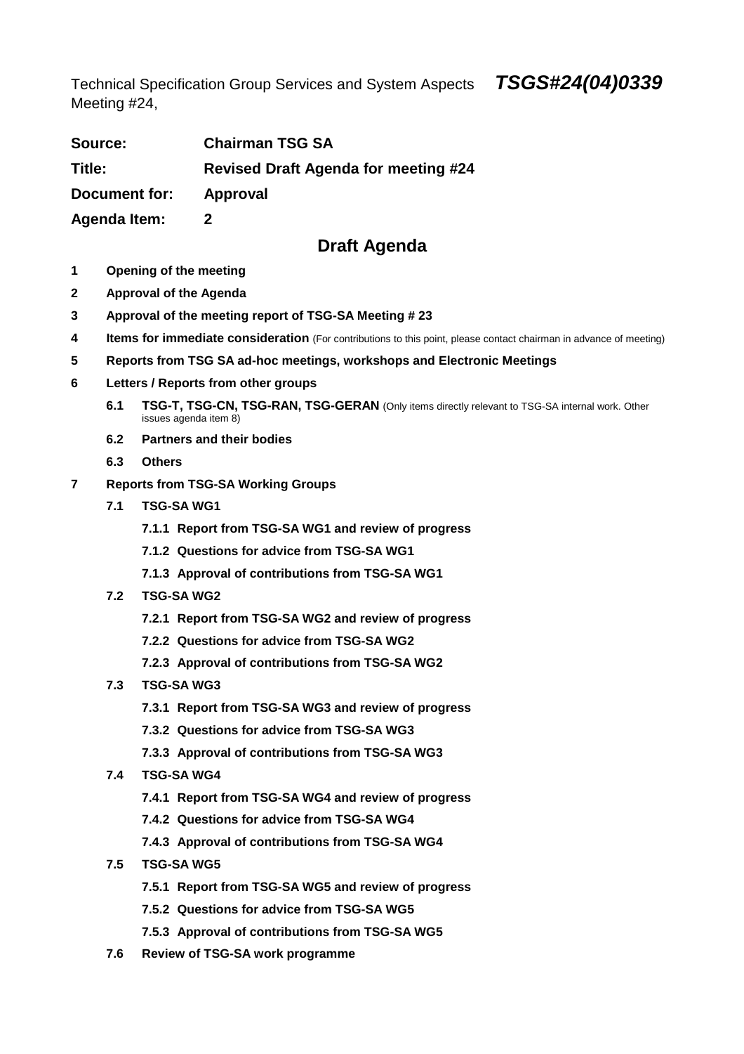Technical Specification Group Services and System Aspects **TSGS#24(04)0339**  Meeting #24,

| Source:             | <b>Chairman TSG SA</b>                      |
|---------------------|---------------------------------------------|
| Title:              | <b>Revised Draft Agenda for meeting #24</b> |
| Document for:       | Approval                                    |
| <b>Agenda Item:</b> |                                             |

## **Draft Agenda**

- **1 Opening of the meeting**
- **2 Approval of the Agenda**
- **3 Approval of the meeting report of TSG-SA Meeting # 23**
- **4** Items for immediate consideration (For contributions to this point, please contact chairman in advance of meeting)
- **5 Reports from TSG SA ad-hoc meetings, workshops and Electronic Meetings**
- **6 Letters / Reports from other groups** 
	- **6.1 TSG-T, TSG-CN, TSG-RAN, TSG-GERAN** (Only items directly relevant to TSG-SA internal work. Other issues agenda item 8)
	- **6.2 Partners and their bodies**
	- **6.3 Others**
- **7 Reports from TSG-SA Working Groups** 
	- **7.1 TSG-SA WG1** 
		- **7.1.1 Report from TSG-SA WG1 and review of progress**
		- **7.1.2 Questions for advice from TSG-SA WG1**
		- **7.1.3 Approval of contributions from TSG-SA WG1**
	- **7.2 TSG-SA WG2** 
		- **7.2.1 Report from TSG-SA WG2 and review of progress**
		- **7.2.2 Questions for advice from TSG-SA WG2**
		- **7.2.3 Approval of contributions from TSG-SA WG2**
	- **7.3 TSG-SA WG3** 
		- **7.3.1 Report from TSG-SA WG3 and review of progress**
		- **7.3.2 Questions for advice from TSG-SA WG3**
		- **7.3.3 Approval of contributions from TSG-SA WG3**
	- **7.4 TSG-SA WG4** 
		- **7.4.1 Report from TSG-SA WG4 and review of progress**
		- **7.4.2 Questions for advice from TSG-SA WG4**
		- **7.4.3 Approval of contributions from TSG-SA WG4**
	- **7.5 TSG-SA WG5** 
		- **7.5.1 Report from TSG-SA WG5 and review of progress**
		- **7.5.2 Questions for advice from TSG-SA WG5**
		- **7.5.3 Approval of contributions from TSG-SA WG5**
	- **7.6 Review of TSG-SA work programme**